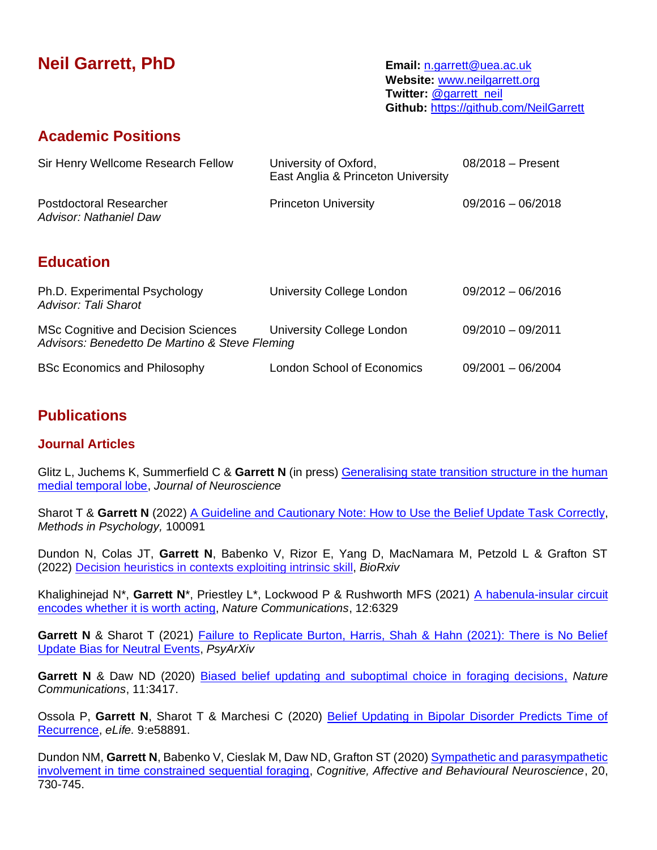# **Neil Garrett, PhD Email:** [n.garrett@uea.ac.uk](mailto:%20n.garrett@uea.ac.uk)

**Website:** [www.neilgarrett.org](http://www.neilgarrett.org/) **Twitter:** [@garrett\\_neil](https://twitter.com/garrett_neil) **Github:** <https://github.com/NeilGarrett>

### **Academic Positions**

| Sir Henry Wellcome Research Fellow                                                    | University of Oxford,<br>East Anglia & Princeton University | $08/2018 -$ Present |
|---------------------------------------------------------------------------------------|-------------------------------------------------------------|---------------------|
| Postdoctoral Researcher<br>Advisor: Nathaniel Daw                                     | <b>Princeton University</b>                                 | $09/2016 - 06/2018$ |
| <b>Education</b>                                                                      |                                                             |                     |
| Ph.D. Experimental Psychology<br><b>Advisor: Tali Sharot</b>                          | University College London                                   | $09/2012 - 06/2016$ |
| MSc Cognitive and Decision Sciences<br>Advisors: Benedetto De Martino & Steve Fleming | University College London                                   | $09/2010 - 09/2011$ |

BSc Economics and Philosophy **London School of Economics** 09/2001 – 06/2004

# **Publications**

#### **Journal Articles**

Glitz L, Juchems K, Summerfield C & **Garrett N** (in press) [Generalising state transition structure in the human](http://neilgarrett.org/wp-content/uploads/2021/07/Glitz_2021_BioRxiv.pdf)  [medial temporal lobe,](http://neilgarrett.org/wp-content/uploads/2021/07/Glitz_2021_BioRxiv.pdf) *Journal of Neuroscience*

Sharot T & Garrett N (2022) [A Guideline and Cautionary Note: How to Use the Belief Update Task Correctly,](http://neilgarrett.org/wp-content/uploads/2021/10/How_to_update.pdf) *Methods in Psychology,* 100091

Dundon N, Colas JT, **Garrett N**, Babenko V, Rizor E, Yang D, MacNamara M, Petzold L & Grafton ST (2022) Decision heuristics in contexts [exploiting](https://www.biorxiv.org/content/10.1101/2022.04.01.486746v1) intrinsic skill, *BioRxiv*

Khalighinejad N\*, Garrett N\*, Priestley L\*, Lockwood P & Rushworth MFS (2021) A habenula-insular circuit [encodes whether it is worth acting,](https://www.nature.com/articles/s41467-021-26569-1) *Nature Communications*, 12:6329

**Garrett N** & Sharot T (2021) [Failure to Replicate Burton, Harris, Shah & Hahn \(2021\): There is No Belief](http://neilgarrett.org/wp-content/uploads/2021/10/Failure_to_Replicate_Burton.pdf)  [Update Bias for Neutral Events,](http://neilgarrett.org/wp-content/uploads/2021/10/Failure_to_Replicate_Burton.pdf) *PsyArXiv*

**Garrett N** & Daw ND (2020) [Biased belief updating and suboptimal choice in foraging decisions,](http://neilgarrett.org/wp-content/uploads/2020/08/Garrett_Daw2020.pdf) *Nature Communications*, 11:3417.

Ossola P, **Garrett N**, Sharot T & Marchesi C (2020) [Belief Updating in Bipolar Disorder Predicts Time of](http://neilgarrett.org/wp-content/uploads/2020/11/Ossola_2020.pdf)  [Recurrence,](http://neilgarrett.org/wp-content/uploads/2020/11/Ossola_2020.pdf) *eLife.* 9:e58891.

Dundon NM, **Garrett N**, Babenko V, Cieslak M, Daw ND, Grafton ST (2020) [Sympathetic and parasympathetic](http://neilgarrett.org/wp-content/uploads/2020/08/DundonGarrett_CABN2020.pdf)  [involvement in time constrained sequential foraging,](http://neilgarrett.org/wp-content/uploads/2020/08/DundonGarrett_CABN2020.pdf) *Cognitive, Affective and Behavioural Neuroscience*, 20, 730-745.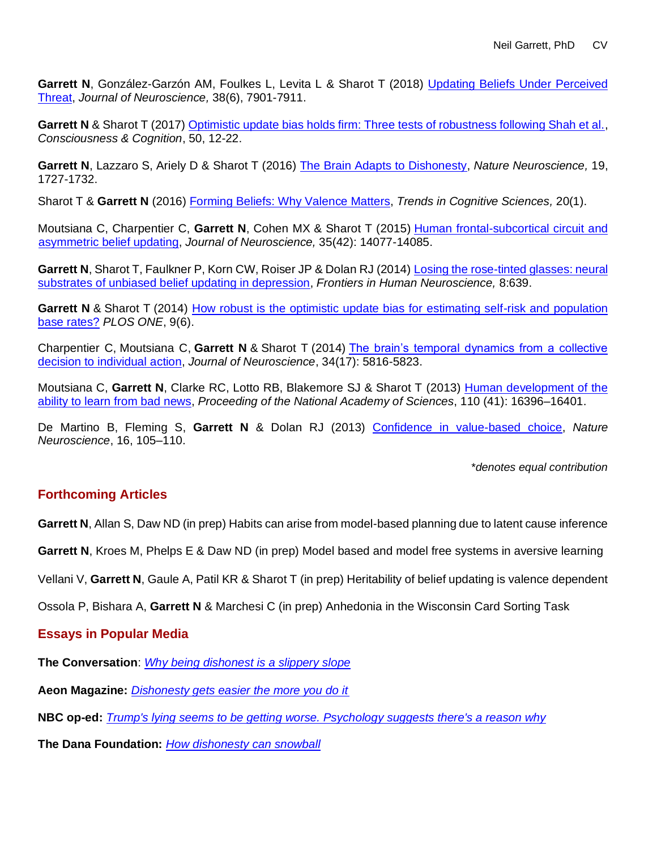**Garrett N**, González-Garzón AM, Foulkes L, Levita L & Sharot T (2018) Updating [Beliefs Under Perceived](http://neilgarrett.org/wp-content/uploads/2018/09/Garrett_JNeuro.pdf)  [Threat,](http://neilgarrett.org/wp-content/uploads/2018/09/Garrett_JNeuro.pdf) *Journal of Neuroscience,* 38(6), 7901-7911.

**Garrett N** & Sharot T (2017) [Optimistic update bias holds firm: Three tests of robustness following Shah et al.,](http://neilgarrett.org/wp-content/uploads/2016/11/Garrett_CC.pdf) *Consciousness & Cognition*, 50, 12-22.

**Garrett N**, Lazzaro S, Ariely D & Sharot T (2016) [The Brain Adapts to Dishonesty,](http://neilgarrett.org/wp-content/uploads/2016/10/nn.4426.pdf) *Nature Neuroscience,* 19, 1727-1732.

Sharot T & **Garrett N** (2016) [Forming Beliefs: Why Valence Matters,](http://neilgarrett.org/wp-content/uploads/2016/11/TICS_2016.pdf) *Trends in Cognitive Sciences,* 20(1).

Moutsiana C, Charpentier C, **Garrett N**, Cohen MX & Sharot T (2015) [Human frontal-subcortical circuit and](http://neilgarrett.org/wp-content/uploads/2016/11/Moutsiana_JoN.pdf)  [asymmetric belief updating,](http://neilgarrett.org/wp-content/uploads/2016/11/Moutsiana_JoN.pdf) *Journal of Neuroscience,* 35(42): 14077-14085.

**Garrett N**, Sharot T, Faulkner P, Korn CW, Roiser JP & Dolan RJ (2014) [Losing the rose-tinted](http://neilgarrett.org/wp-content/uploads/2016/11/Garrett_MDD.pdf) glasses: neural [substrates of unbiased belief updating in depression,](http://neilgarrett.org/wp-content/uploads/2016/11/Garrett_MDD.pdf) *Frontiers in Human Neuroscience,* 8:639.

**Garrett N** & Sharot T (2014) How robust is the optimistic update bias for estimating self-risk and population [base rates?](http://neilgarrett.org/wp-content/uploads/2016/11/Garrett_BaseRates.pdf) *PLOS ONE*, 9(6).

Charpentier C, Moutsiana C, **Garrett N** & Sharot T (2014) [The brain's temporal dynamics from a collective](http://neilgarrett.org/wp-content/uploads/2016/11/Charptentier_JoN.pdf)  [decision to individual action,](http://neilgarrett.org/wp-content/uploads/2016/11/Charptentier_JoN.pdf) *Journal of Neuroscience*, 34(17): 5816-5823.

Moutsiana C, **Garrett N**, Clarke RC, Lotto RB, Blakemore SJ & Sharot T (2013) [Human development of the](http://neilgarrett.org/wp-content/uploads/2016/11/PNAS-2013-Moutsiana-16396-401.pdf)  [ability to learn from bad news,](http://neilgarrett.org/wp-content/uploads/2016/11/PNAS-2013-Moutsiana-16396-401.pdf) *Proceeding of the National Academy of Sciences*, 110 (41): 16396–16401.

De Martino B, Fleming S, **Garrett N** & Dolan RJ (2013) [Confidence in value-based choice,](http://neilgarrett.org/wp-content/uploads/2016/11/de_martino_nn_2013.pdf) *Nature Neuroscience*, 16, 105–110.

\**denotes equal contribution*

#### **Forthcoming Articles**

**Garrett N**, Allan S, Daw ND (in prep) Habits can arise from model-based planning due to latent cause inference

**Garrett N**, Kroes M, Phelps E & Daw ND (in prep) Model based and model free systems in aversive learning

Vellani V, **Garrett N**, Gaule A, Patil KR & Sharot T (in prep) Heritability of belief updating is valence dependent

Ossola P, Bishara A, **Garrett N** & Marchesi C (in prep) Anhedonia in the Wisconsin Card Sorting Task

#### **Essays in Popular Media**

**The Conversation**: *[Why being dishonest is a slippery slope](http://theconversation.com/why-being-dishonest-is-a-slippery-slope-67503)*

**Aeon Magazine:** *[Dishonesty gets easier the more you do it](https://aeon.co/ideas/dishonesty-gets-easier-on-the-brain-the-more-you-do-it)*

**[NBC op-ed:](https://www.nbcnews.com/think/opinion/trump-s-lying-seems-be-getting-worse-psychology-suggests-there-ncna876486)** *[Trump's lying seems to be getting worse. Psychology suggests there's a reason why](https://www.nbcnews.com/think/opinion/trump-s-lying-seems-be-getting-worse-psychology-suggests-there-ncna876486)*

**The Dana Foundation:** *[How dishonesty can snowball](http://www.dana.org/News/Garrett/How-Dishonesty-Can-Snowball/)*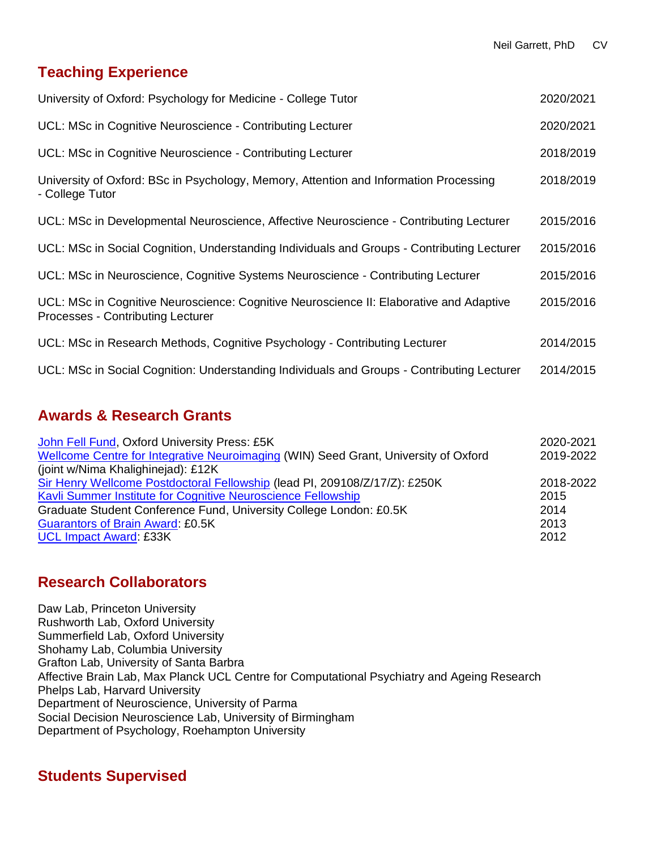# **Teaching Experience**

| University of Oxford: Psychology for Medicine - College Tutor                                                                | 2020/2021 |
|------------------------------------------------------------------------------------------------------------------------------|-----------|
| UCL: MSc in Cognitive Neuroscience - Contributing Lecturer                                                                   | 2020/2021 |
| UCL: MSc in Cognitive Neuroscience - Contributing Lecturer                                                                   | 2018/2019 |
| University of Oxford: BSc in Psychology, Memory, Attention and Information Processing<br>- College Tutor                     | 2018/2019 |
| UCL: MSc in Developmental Neuroscience, Affective Neuroscience - Contributing Lecturer                                       | 2015/2016 |
| UCL: MSc in Social Cognition, Understanding Individuals and Groups - Contributing Lecturer                                   | 2015/2016 |
| UCL: MSc in Neuroscience, Cognitive Systems Neuroscience - Contributing Lecturer                                             | 2015/2016 |
| UCL: MSc in Cognitive Neuroscience: Cognitive Neuroscience II: Elaborative and Adaptive<br>Processes - Contributing Lecturer | 2015/2016 |
| UCL: MSc in Research Methods, Cognitive Psychology - Contributing Lecturer                                                   | 2014/2015 |
| UCL: MSc in Social Cognition: Understanding Individuals and Groups - Contributing Lecturer                                   | 2014/2015 |

# **Awards & Research Grants**

| John Fell Fund, Oxford University Press: £5K                                        | 2020-2021 |
|-------------------------------------------------------------------------------------|-----------|
| Wellcome Centre for Integrative Neuroimaging (WIN) Seed Grant, University of Oxford | 2019-2022 |
| (joint w/Nima Khalighinejad): £12K                                                  |           |
| Sir Henry Wellcome Postdoctoral Fellowship (lead PI, 209108/Z/17/Z): £250K          | 2018-2022 |
| Kavli Summer Institute for Cognitive Neuroscience Fellowship                        | 2015      |
| Graduate Student Conference Fund, University College London: £0.5K                  | 2014      |
| <b>Guarantors of Brain Award: £0.5K</b>                                             |           |
| <b>UCL Impact Award: £33K</b>                                                       | 2012      |

# **Research Collaborators**

Daw Lab, Princeton University Rushworth Lab, Oxford University Summerfield Lab, Oxford University Shohamy Lab, Columbia University Grafton Lab, University of Santa Barbra Affective Brain Lab, Max Planck UCL Centre for Computational Psychiatry and Ageing Research Phelps Lab, Harvard University Department of Neuroscience, University of Parma Social Decision Neuroscience Lab, University of Birmingham Department of Psychology, Roehampton University

# **Students Supervised**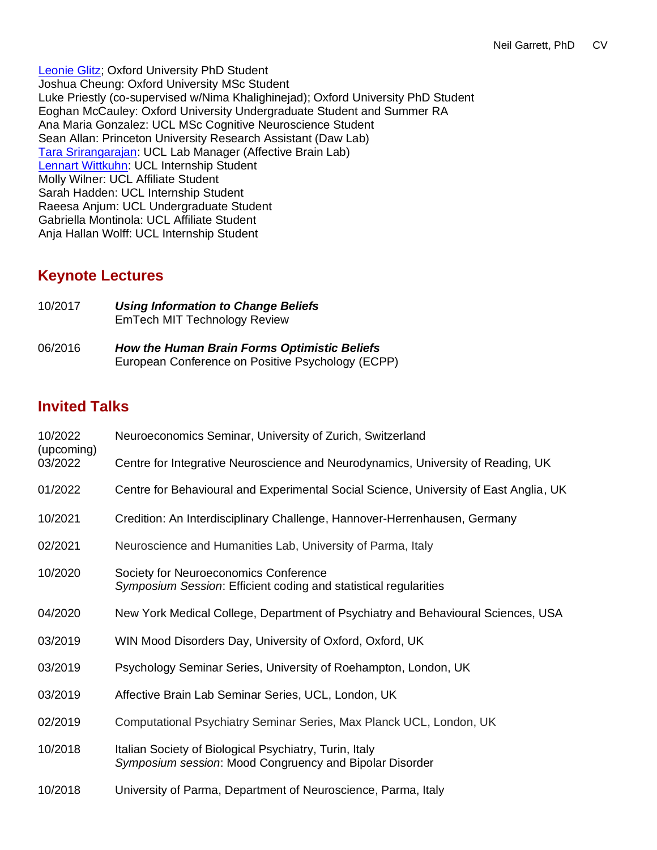[Leonie Glitz;](https://www.psy.ox.ac.uk/team/leonie-glitz) Oxford University PhD Student Joshua Cheung: Oxford University MSc Student Luke Priestly (co-supervised w/Nima Khalighinejad); Oxford University PhD Student Eoghan McCauley: Oxford University Undergraduate Student and Summer RA Ana Maria Gonzalez: UCL MSc Cognitive Neuroscience Student Sean Allan: Princeton University Research Assistant (Daw Lab) [Tara Srirangarajan:](https://profiles.stanford.edu/tara-srirangarajan) UCL Lab Manager (Affective Brain Lab) [Lennart Wittkuhn:](https://www.mps-ucl-centre.mpg.de/person/104633/2813) UCL Internship Student Molly Wilner: UCL Affiliate Student Sarah Hadden: UCL Internship Student Raeesa Anjum: UCL Undergraduate Student Gabriella Montinola: UCL Affiliate Student Anja Hallan Wolff: UCL Internship Student

### **Keynote Lectures**

| 10/2017 | Using Information to Change Beliefs<br>EmTech MIT Technology Review |
|---------|---------------------------------------------------------------------|
| 06/2016 | How the Human Brain Forms Optimistic Beliefs                        |

European Conference on Positive Psychology (ECPP)

# **Invited Talks**

| 10/2022<br>(upcoming)<br>03/2022 | Neuroeconomics Seminar, University of Zurich, Switzerland                                                         |
|----------------------------------|-------------------------------------------------------------------------------------------------------------------|
|                                  | Centre for Integrative Neuroscience and Neurodynamics, University of Reading, UK                                  |
| 01/2022                          | Centre for Behavioural and Experimental Social Science, University of East Anglia, UK                             |
| 10/2021                          | Credition: An Interdisciplinary Challenge, Hannover-Herrenhausen, Germany                                         |
| 02/2021                          | Neuroscience and Humanities Lab, University of Parma, Italy                                                       |
| 10/2020                          | Society for Neuroeconomics Conference<br>Symposium Session: Efficient coding and statistical regularities         |
| 04/2020                          | New York Medical College, Department of Psychiatry and Behavioural Sciences, USA                                  |
| 03/2019                          | WIN Mood Disorders Day, University of Oxford, Oxford, UK                                                          |
| 03/2019                          | Psychology Seminar Series, University of Roehampton, London, UK                                                   |
| 03/2019                          | Affective Brain Lab Seminar Series, UCL, London, UK                                                               |
| 02/2019                          | Computational Psychiatry Seminar Series, Max Planck UCL, London, UK                                               |
| 10/2018                          | Italian Society of Biological Psychiatry, Turin, Italy<br>Symposium session: Mood Congruency and Bipolar Disorder |
| 10/2018                          | University of Parma, Department of Neuroscience, Parma, Italy                                                     |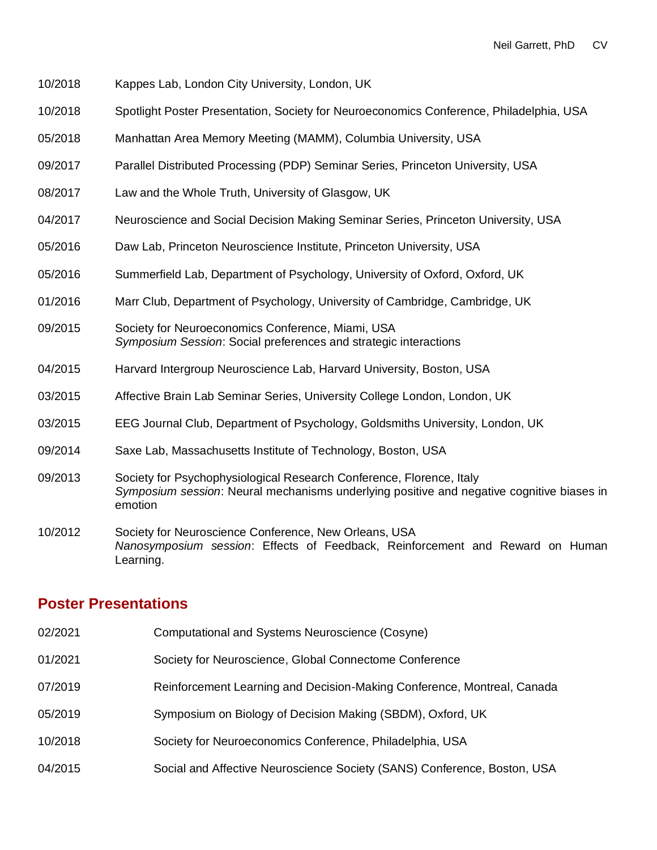- 10/2018 Kappes Lab, London City University, London, UK
- 10/2018 Spotlight Poster Presentation, Society for Neuroeconomics Conference, Philadelphia, USA
- 05/2018 Manhattan Area Memory Meeting (MAMM), Columbia University, USA
- 09/2017 Parallel Distributed Processing (PDP) Seminar Series, Princeton University, USA
- 08/2017 Law and the Whole Truth, University of Glasgow, UK
- 04/2017 Neuroscience and Social Decision Making Seminar Series, Princeton University, USA
- 05/2016 Daw Lab, Princeton Neuroscience Institute, Princeton University, USA
- 05/2016 Summerfield Lab, Department of Psychology, University of Oxford, Oxford, UK
- 01/2016 Marr Club, Department of Psychology, University of Cambridge, Cambridge, UK
- 09/2015 Society for Neuroeconomics Conference, Miami, USA *Symposium Session*: Social preferences and strategic interactions
- 04/2015 Harvard Intergroup Neuroscience Lab, Harvard University, Boston, USA
- 03/2015 Affective Brain Lab Seminar Series, University College London, London, UK
- 03/2015 EEG Journal Club, Department of Psychology, Goldsmiths University, London, UK
- 09/2014 Saxe Lab, Massachusetts Institute of Technology, Boston, USA
- 09/2013 Society for Psychophysiological Research Conference, Florence, Italy *Symposium session*: Neural mechanisms underlying positive and negative cognitive biases in emotion
- 10/2012 Society for Neuroscience Conference, New Orleans, USA *Nanosymposium session*: Effects of Feedback, Reinforcement and Reward on Human Learning.

### **Poster Presentations**

- 02/2021 Computational and Systems Neuroscience (Cosyne)
- 01/2021 Society for Neuroscience, Global Connectome Conference
- 07/2019 Reinforcement Learning and Decision-Making Conference, Montreal, Canada
- 05/2019 Symposium on Biology of Decision Making (SBDM), Oxford, UK
- 10/2018 Society for Neuroeconomics Conference, Philadelphia, USA
- 04/2015 Social and Affective Neuroscience Society (SANS) Conference, Boston, USA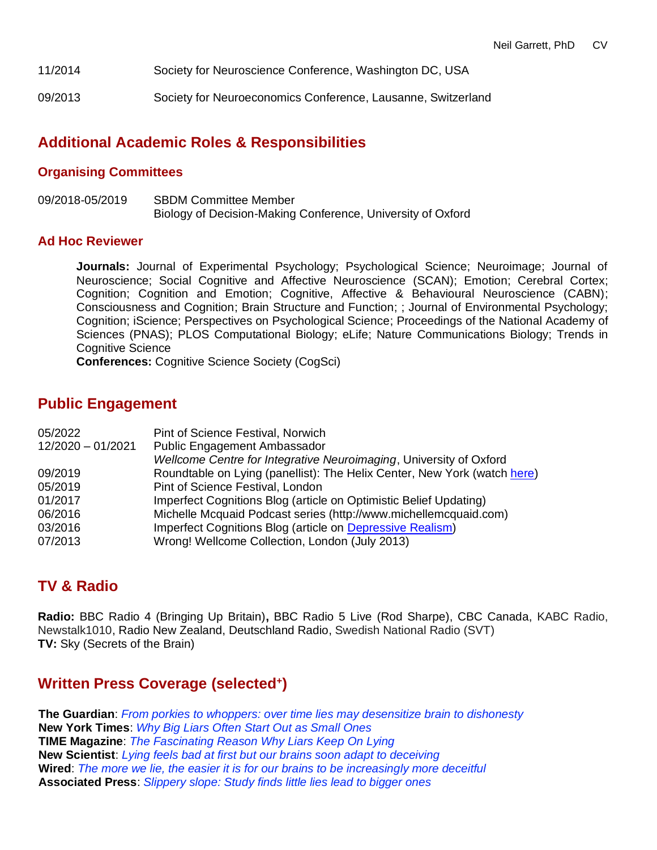- 11/2014 Society for Neuroscience Conference, Washington DC, USA
- 09/2013 Society for Neuroeconomics Conference, Lausanne, Switzerland

# **Additional Academic Roles & Responsibilities**

#### **Organising Committees**

09/2018-05/2019 SBDM Committee Member Biology of Decision-Making Conference, University of Oxford

#### **Ad Hoc Reviewer**

**Journals:** Journal of Experimental Psychology; Psychological Science; Neuroimage; Journal of Neuroscience; Social Cognitive and Affective Neuroscience (SCAN); Emotion; Cerebral Cortex; Cognition; Cognition and Emotion; Cognitive, Affective & Behavioural Neuroscience (CABN); Consciousness and Cognition; Brain Structure and Function; ; Journal of Environmental Psychology; Cognition; iScience; Perspectives on Psychological Science; Proceedings of the National Academy of Sciences (PNAS); PLOS Computational Biology; eLife; Nature Communications Biology; Trends in Cognitive Science

**Conferences:** Cognitive Science Society (CogSci)

### **Public Engagement**

| 05/2022             | Pint of Science Festival, Norwich                                        |
|---------------------|--------------------------------------------------------------------------|
| $12/2020 - 01/2021$ | Public Engagement Ambassador                                             |
|                     | Wellcome Centre for Integrative Neuroimaging, University of Oxford       |
| 09/2019             | Roundtable on Lying (panellist): The Helix Center, New York (watch here) |
| 05/2019             | Pint of Science Festival, London                                         |
| 01/2017             | Imperfect Cognitions Blog (article on Optimistic Belief Updating)        |
| 06/2016             | Michelle Mcquaid Podcast series (http://www.michellemcquaid.com)         |
| 03/2016             | Imperfect Cognitions Blog (article on Depressive Realism)                |
| 07/2013             | Wrong! Wellcome Collection, London (July 2013)                           |
|                     |                                                                          |

### **TV & Radio**

**Radio:** BBC Radio 4 (Bringing Up Britain)**,** BBC Radio 5 Live (Rod Sharpe), CBC Canada, KABC Radio, Newstalk1010, Radio New Zealand, Deutschland Radio, Swedish National Radio (SVT) **TV:** Sky (Secrets of the Brain)

# **Written Press Coverage (selected<sup>+</sup> )**

**The Guardian**: *[From porkies to whoppers: over time lies may desensitize brain to dishonesty](https://www.theguardian.com/science/2016/oct/24/from-porkies-to-whoppers-over-time-lies-may-desensitise-brain-to-dishonesty)* **New York Times**: *[Why Big Liars Often Start Out as Small Ones](http://www.nytimes.com/2016/10/25/science/why-big-liars-often-start-out-as-small-ones.html?_r=0)* **TIME Magazine**: *[The Fascinating Reason Why Liars Keep On Lying](http://time.com/4540707/lying-lies-brain/)* **New Scientist**: *[Lying feels bad at first but our brains soon adapt to deceiving](https://www.newscientist.com/article/2110130-lying-feels-bad-at-first-but-our-brains-soon-adapt-to-deceiving/)* **Wired**: *[The more we lie, the easier it is for our brains to be increasingly more deceitful](http://www.wired.co.uk/article/our-brains-desensitise-to-lies-so-we-can-lie-more)* **Associated Press**: *[Slippery slope: Study finds little lies lead to bigger ones](http://hosted2.ap.org/APDEFAULT/b2f0ca3a594644ee9e50a8ec4ce2d6de/Article_2016-10-24-US-SCI--Lying%20Brain/id-68737d13930242a48e88a3c34373d924)*